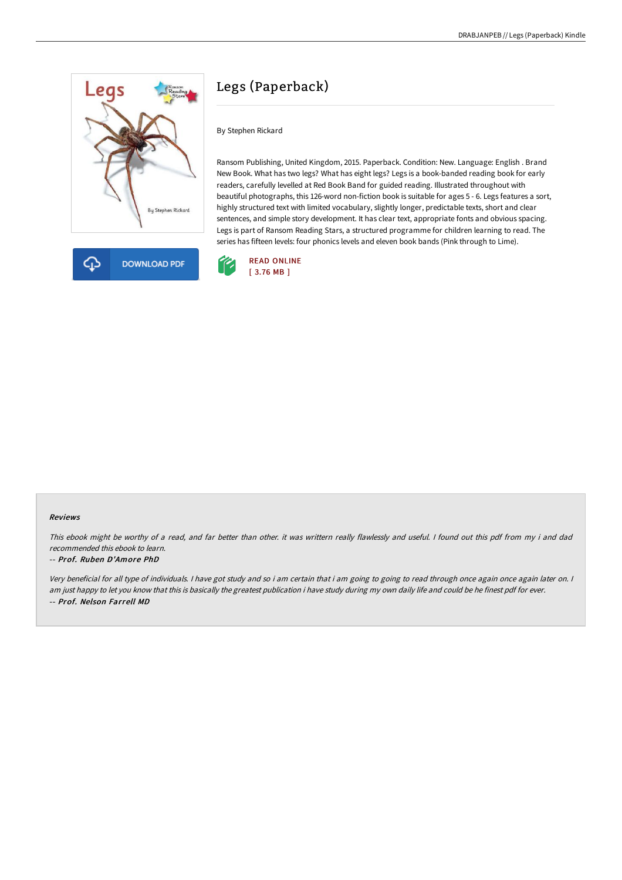



# Legs (Paperback)

By Stephen Rickard

Ransom Publishing, United Kingdom, 2015. Paperback. Condition: New. Language: English . Brand New Book. What has two legs? What has eight legs? Legs is a book-banded reading book for early readers, carefully levelled at Red Book Band for guided reading. Illustrated throughout with beautiful photographs, this 126-word non-fiction book is suitable for ages 5 - 6. Legs features a sort, highly structured text with limited vocabulary, slightly longer, predictable texts, short and clear sentences, and simple story development. It has clear text, appropriate fonts and obvious spacing. Legs is part of Ransom Reading Stars, a structured programme for children learning to read. The series has fifteen levels: four phonics levels and eleven book bands (Pink through to Lime).



#### Reviews

This ebook might be worthy of <sup>a</sup> read, and far better than other. it was writtern really flawlessly and useful. <sup>I</sup> found out this pdf from my i and dad recommended this ebook to learn.

#### -- Prof. Ruben D'Amore PhD

Very beneficial for all type of individuals. <sup>I</sup> have got study and so i am certain that i am going to going to read through once again once again later on. <sup>I</sup> am just happy to let you know that this is basically the greatest publication i have study during my own daily life and could be he finest pdf for ever. -- Prof. Nelson Farrell MD